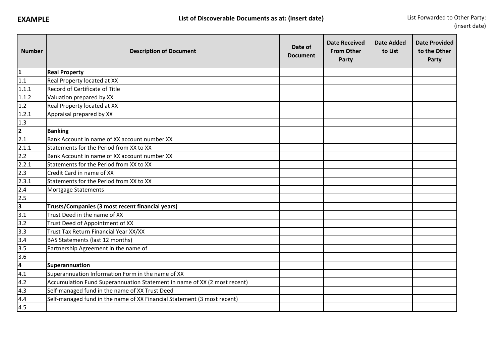| <b>Number</b>           | <b>Description of Document</b>                                           | Date of<br><b>Document</b> | <b>Date Received</b><br><b>From Other</b><br>Party | <b>Date Added</b><br>to List | <b>Date Provided</b><br>to the Other<br>Party |
|-------------------------|--------------------------------------------------------------------------|----------------------------|----------------------------------------------------|------------------------------|-----------------------------------------------|
| $\mathbf 1$             | <b>Real Property</b>                                                     |                            |                                                    |                              |                                               |
| 1.1                     | Real Property located at XX                                              |                            |                                                    |                              |                                               |
| 1.1.1                   | Record of Certificate of Title                                           |                            |                                                    |                              |                                               |
| 1.1.2                   | Valuation prepared by XX                                                 |                            |                                                    |                              |                                               |
| 1.2                     | Real Property located at XX                                              |                            |                                                    |                              |                                               |
| 1.2.1                   | Appraisal prepared by XX                                                 |                            |                                                    |                              |                                               |
| 1.3                     |                                                                          |                            |                                                    |                              |                                               |
| $\frac{2}{\sqrt{2}}$    | <b>Banking</b>                                                           |                            |                                                    |                              |                                               |
| $\overline{2.1}$        | Bank Account in name of XX account number XX                             |                            |                                                    |                              |                                               |
| 2.1.1                   | Statements for the Period from XX to XX                                  |                            |                                                    |                              |                                               |
| 2.2                     | Bank Account in name of XX account number XX                             |                            |                                                    |                              |                                               |
| 2.2.1                   | Statements for the Period from XX to XX                                  |                            |                                                    |                              |                                               |
| 2.3                     | Credit Card in name of XX                                                |                            |                                                    |                              |                                               |
| 2.3.1                   | Statements for the Period from XX to XX                                  |                            |                                                    |                              |                                               |
| 2.4                     | Mortgage Statements                                                      |                            |                                                    |                              |                                               |
| 2.5                     |                                                                          |                            |                                                    |                              |                                               |
| $\overline{\mathbf{3}}$ | Trusts/Companies (3 most recent financial years)                         |                            |                                                    |                              |                                               |
| $\overline{3.1}$        | Trust Deed in the name of XX                                             |                            |                                                    |                              |                                               |
| 3.2                     | Trust Deed of Appointment of XX                                          |                            |                                                    |                              |                                               |
| 3.3                     | Trust Tax Return Financial Year XX/XX                                    |                            |                                                    |                              |                                               |
| 3.4                     | BAS Statements (last 12 months)                                          |                            |                                                    |                              |                                               |
| 3.5                     | Partnership Agreement in the name of                                     |                            |                                                    |                              |                                               |
| 3.6                     |                                                                          |                            |                                                    |                              |                                               |
| 4                       | Superannuation                                                           |                            |                                                    |                              |                                               |
| 4.1                     | Superannuation Information Form in the name of XX                        |                            |                                                    |                              |                                               |
| 4.2                     | Accumulation Fund Superannuation Statement in name of XX (2 most recent) |                            |                                                    |                              |                                               |
| 4.3                     | Self-managed fund in the name of XX Trust Deed                           |                            |                                                    |                              |                                               |
| 4.4                     | Self-managed fund in the name of XX Financial Statement (3 most recent)  |                            |                                                    |                              |                                               |
| 4.5                     |                                                                          |                            |                                                    |                              |                                               |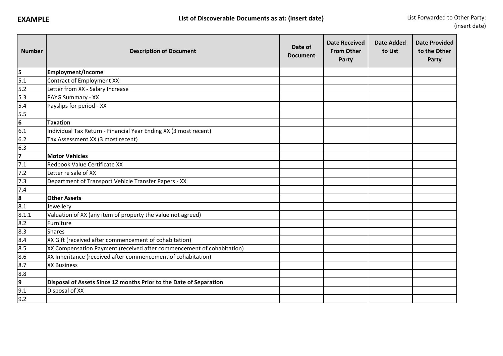| <b>Number</b>                                                                | <b>Description of Document</b>                                        | Date of<br><b>Document</b> | <b>Date Received</b><br><b>From Other</b><br>Party | <b>Date Added</b><br>to List | <b>Date Provided</b><br>to the Other<br>Party |
|------------------------------------------------------------------------------|-----------------------------------------------------------------------|----------------------------|----------------------------------------------------|------------------------------|-----------------------------------------------|
|                                                                              | <b>Employment/Income</b>                                              |                            |                                                    |                              |                                               |
| $\begin{array}{c} 5 \\ 5.1 \end{array}$                                      | Contract of Employment XX                                             |                            |                                                    |                              |                                               |
|                                                                              | Letter from XX - Salary Increase                                      |                            |                                                    |                              |                                               |
|                                                                              | PAYG Summary - XX                                                     |                            |                                                    |                              |                                               |
|                                                                              | Payslips for period - XX                                              |                            |                                                    |                              |                                               |
|                                                                              |                                                                       |                            |                                                    |                              |                                               |
| $\frac{5.2}{5.3}$<br>$\frac{5.3}{5.5}$<br>$\frac{5.5}{6}$<br>$\frac{6}{6.1}$ | <b>Taxation</b>                                                       |                            |                                                    |                              |                                               |
|                                                                              | Individual Tax Return - Financial Year Ending XX (3 most recent)      |                            |                                                    |                              |                                               |
| $6.2$                                                                        | Tax Assessment XX (3 most recent)                                     |                            |                                                    |                              |                                               |
|                                                                              |                                                                       |                            |                                                    |                              |                                               |
| $\begin{array}{c}\n\overline{6.3} \\ \overline{7}\n\end{array}$              | <b>Motor Vehicles</b>                                                 |                            |                                                    |                              |                                               |
|                                                                              | Redbook Value Certificate XX                                          |                            |                                                    |                              |                                               |
| $\frac{7.1}{7.2}$<br>$\frac{7.3}{7.4}$<br>$\frac{7.4}{8.1}$                  | Letter re sale of XX                                                  |                            |                                                    |                              |                                               |
|                                                                              | Department of Transport Vehicle Transfer Papers - XX                  |                            |                                                    |                              |                                               |
|                                                                              |                                                                       |                            |                                                    |                              |                                               |
|                                                                              | <b>Other Assets</b>                                                   |                            |                                                    |                              |                                               |
|                                                                              | Jewellery                                                             |                            |                                                    |                              |                                               |
| 8.1.1                                                                        | Valuation of XX (any item of property the value not agreed)           |                            |                                                    |                              |                                               |
|                                                                              | Furniture                                                             |                            |                                                    |                              |                                               |
|                                                                              | <b>Shares</b>                                                         |                            |                                                    |                              |                                               |
|                                                                              | XX Gift (received after commencement of cohabitation)                 |                            |                                                    |                              |                                               |
|                                                                              | XX Compensation Payment (received after commencement of cohabitation) |                            |                                                    |                              |                                               |
|                                                                              | XX Inheritance (received after commencement of cohabitation)          |                            |                                                    |                              |                                               |
| 8.2<br>8.3<br>8.4<br>8.5<br>8.5<br>8.7                                       | <b>XX Business</b>                                                    |                            |                                                    |                              |                                               |
| $\begin{array}{r} 6.8 \\ 8.8 \\ 9 \\ 9.1 \\ 9.2 \end{array}$                 |                                                                       |                            |                                                    |                              |                                               |
|                                                                              | Disposal of Assets Since 12 months Prior to the Date of Separation    |                            |                                                    |                              |                                               |
|                                                                              | Disposal of XX                                                        |                            |                                                    |                              |                                               |
|                                                                              |                                                                       |                            |                                                    |                              |                                               |